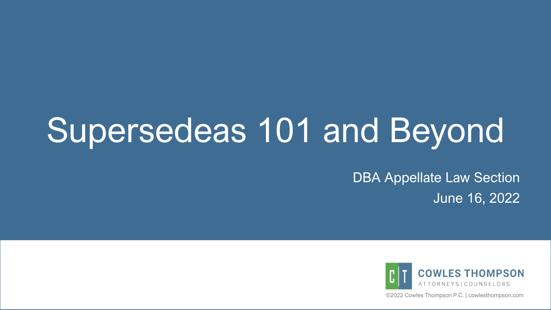# Supersedeas 101 and Beyond

DBA Appellate Law Section June 16, 2022



©2022 Cowles Thompson P.C. | cowlesthompson.com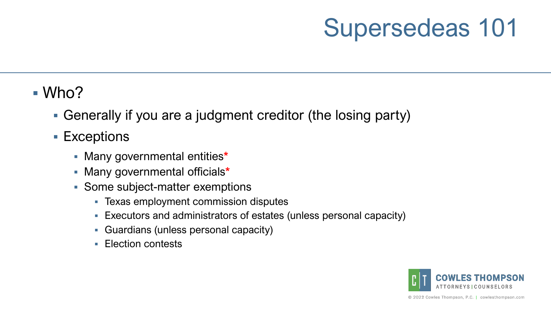#### $\blacksquare$  Who?

- Generally if you are a judgment creditor (the losing party)
- Exceptions
	- Many governmental entities**\***
	- Many governmental officials**\***
	- **Some subject-matter exemptions** 
		- Texas employment commission disputes
		- Executors and administrators of estates (unless personal capacity)
		- Guardians (unless personal capacity)
		- **Election contests**

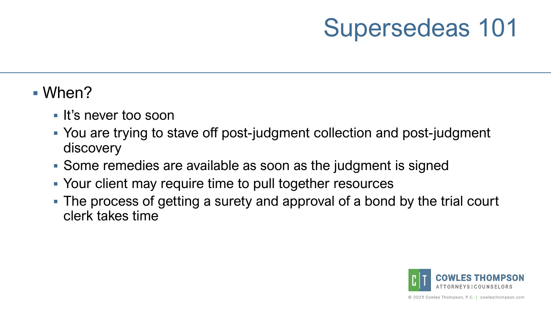#### When?

- If's never too soon
- You are trying to stave off post-judgment collection and post-judgment discovery
- Some remedies are available as soon as the judgment is signed
- Your client may require time to pull together resources
- The process of getting a surety and approval of a bond by the trial court clerk takes time

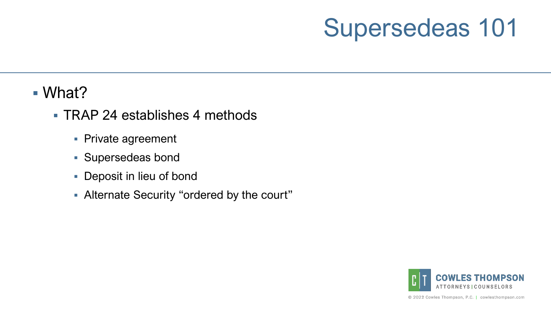#### What?

- TRAP 24 establishes 4 methods
	- **Private agreement**
	- Supersedeas bond
	- Deposit in lieu of bond
	- Alternate Security "ordered by the court"

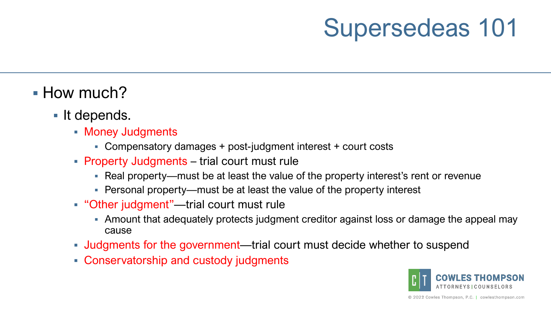- **How much?** 
	- It depends.
		- **Money Judgments** 
			- Compensatory damages + post-judgment interest + court costs
		- Property Judgments trial court must rule
			- Real property—must be at least the value of the property interest's rent or revenue
			- Personal property—must be at least the value of the property interest
		- "Other judgment"—trial court must rule
			- Amount that adequately protects judgment creditor against loss or damage the appeal may cause
		- Judgments for the government—trial court must decide whether to suspend
		- Conservatorship and custody judgments

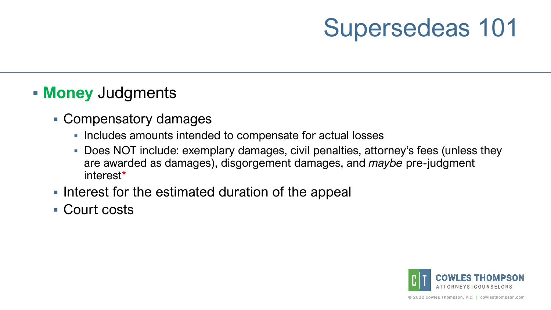#### **Money** Judgments

- Compensatory damages
	- **Includes amounts intended to compensate for actual losses**
	- Does NOT include: exemplary damages, civil penalties, attorney's fees (unless they are awarded as damages), disgorgement damages, and *maybe* pre-judgment interest\*
- I Interest for the estimated duration of the appeal
- Court costs

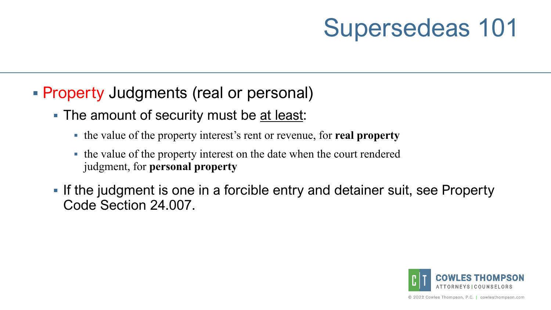- **Property Judgments (real or personal)** 
	- The amount of security must be at least:
		- the value of the property interest's rent or revenue, for **real property**
		- the value of the property interest on the date when the court rendered judgment, for **personal property**
	- **If the judgment is one in a forcible entry and detainer suit, see Property** Code Section 24.007.

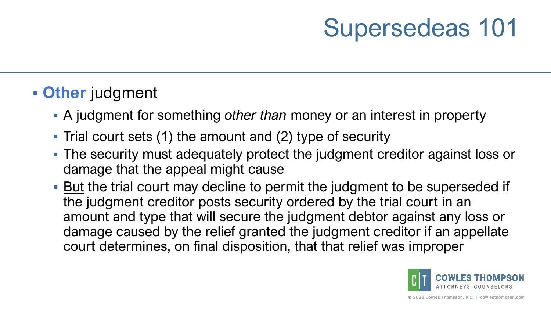### **Other** judgment

- A judgment for something *other than* money or an interest in property
- Trial court sets (1) the amount and (2) type of security
- The security must adequately protect the judgment creditor against loss or damage that the appeal might cause
- **But the trial court may decline to permit the judgment to be superseded if** the judgment creditor posts security ordered by the trial court in an amount and type that will secure the judgment debtor against any loss or damage caused by the relief granted the judgment creditor if an appellate court determines, on final disposition, that that relief was improper

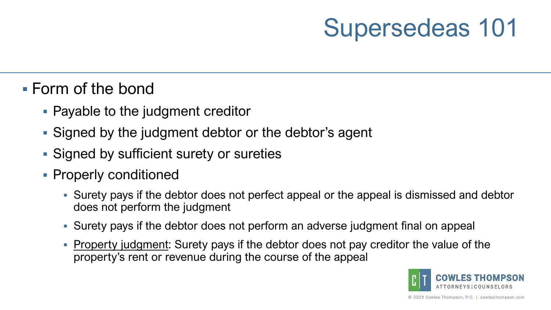#### Form of the bond

- Payable to the judgment creditor
- Signed by the judgment debtor or the debtor's agent
- Signed by sufficient surety or sureties
- **Properly conditioned** 
	- Surety pays if the debtor does not perfect appeal or the appeal is dismissed and debtor does not perform the judgment
	- Surety pays if the debtor does not perform an adverse judgment final on appeal
	- **Property judgment:** Surety pays if the debtor does not pay creditor the value of the property's rent or revenue during the course of the appeal

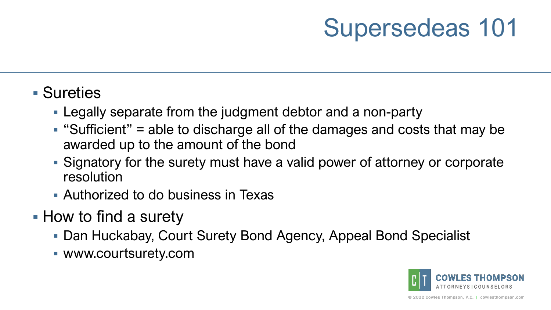### Sureties

- Legally separate from the judgment debtor and a non-party
- $\blacksquare$  "Sufficient" = able to discharge all of the damages and costs that may be awarded up to the amount of the bond
- Signatory for the surety must have a valid power of attorney or corporate resolution
- Authorized to do business in Texas
- How to find a surety
	- Dan Huckabay, Court Surety Bond Agency, Appeal Bond Specialist
	- www.courtsurety.com

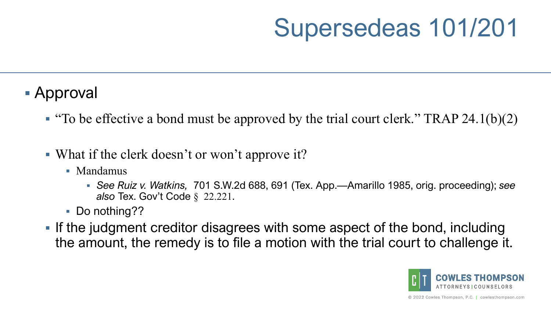# Supersedeas 101/201

- Approval
	- " "To be effective a bond must be approved by the trial court clerk." TRAP 24.1(b)(2)
	- What if the clerk doesn't or won't approve it?
		- Mandamus
			- *See Ruiz v. Watkins,* 701 S.W.2d 688, 691 (Tex. App.—Amarillo 1985, orig. proceeding); *see also* Tex. Gov't Code § 22.221.
		- Do nothing??
	- **If the judgment creditor disagrees with some aspect of the bond, including** the amount, the remedy is to file a motion with the trial court to challenge it.

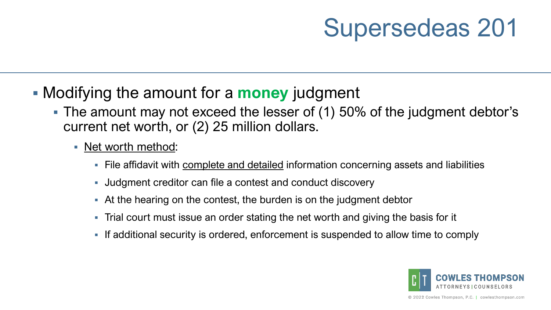- Modifying the amount for a **money** judgment
	- The amount may not exceed the lesser of (1) 50% of the judgment debtor's current net worth, or (2) 25 million dollars.
		- Net worth method:
			- File affidavit with complete and detailed information concerning assets and liabilities
			- Judgment creditor can file a contest and conduct discovery
			- At the hearing on the contest, the burden is on the judgment debtor
			- Trial court must issue an order stating the net worth and giving the basis for it
			- If additional security is ordered, enforcement is suspended to allow time to comply

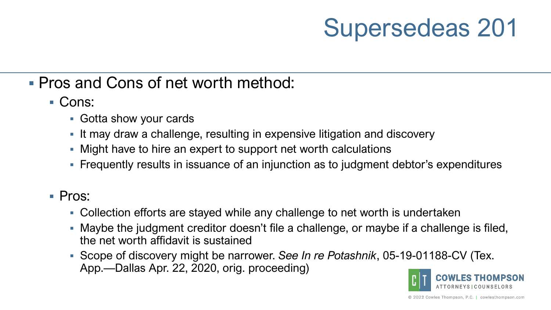#### Pros and Cons of net worth method:

- Cons:
	- Gotta show your cards
	- **It may draw a challenge, resulting in expensive litigation and discovery**
	- Might have to hire an expert to support net worth calculations
	- Frequently results in issuance of an injunction as to judgment debtor's expenditures

#### ■ Pros:

- Collection efforts are stayed while any challenge to net worth is undertaken
- Maybe the judgment creditor doesn't file a challenge, or maybe if a challenge is filed, the net worth affidavit is sustained
- Scope of discovery might be narrower. *See In re Potashnik*, 05-19-01188-CV (Tex. App.—Dallas Apr. 22, 2020, orig. proceeding)

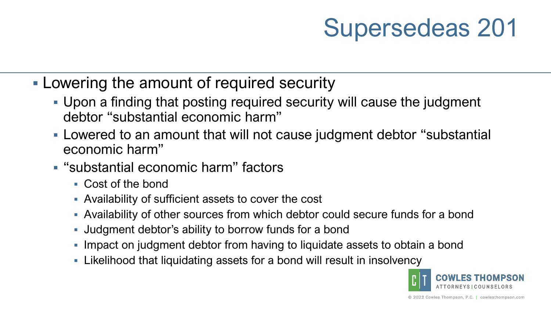- **Lowering the amount of required security** 
	- Upon a finding that posting required security will cause the judgment debtor "substantial economic harm"
	- Lowered to an amount that will not cause judgment debtor "substantial economic harm"
	- "substantial economic harm" factors
		- Cost of the bond
		- Availability of sufficient assets to cover the cost
		- Availability of other sources from which debtor could secure funds for a bond
		- Judgment debtor's ability to borrow funds for a bond
		- **Impact on judgment debtor from having to liquidate assets to obtain a bond**
		- Likelihood that liquidating assets for a bond will result in insolvency

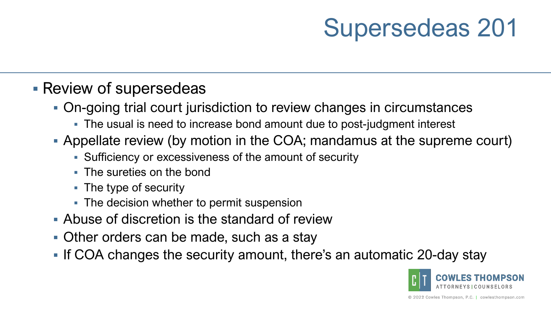#### **Review of supersedeas**

- On-going trial court jurisdiction to review changes in circumstances
	- The usual is need to increase bond amount due to post-judgment interest
- Appellate review (by motion in the COA; mandamus at the supreme court)
	- Sufficiency or excessiveness of the amount of security
	- **The sureties on the bond**
	- The type of security
	- **The decision whether to permit suspension**
- Abuse of discretion is the standard of review
- **Other orders can be made, such as a stay**
- **If COA changes the security amount, there's an automatic 20-day stay**

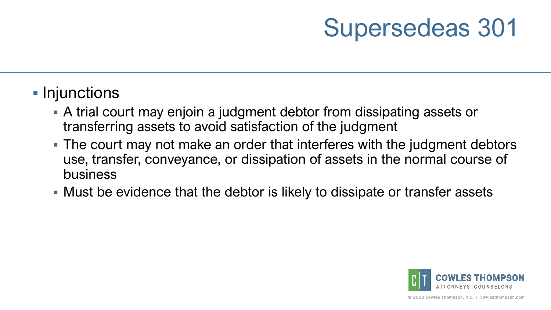### **Injunctions**

- A trial court may enjoin a judgment debtor from dissipating assets or transferring assets to avoid satisfaction of the judgment
- The court may not make an order that interferes with the judgment debtors use, transfer, conveyance, or dissipation of assets in the normal course of business
- Must be evidence that the debtor is likely to dissipate or transfer assets

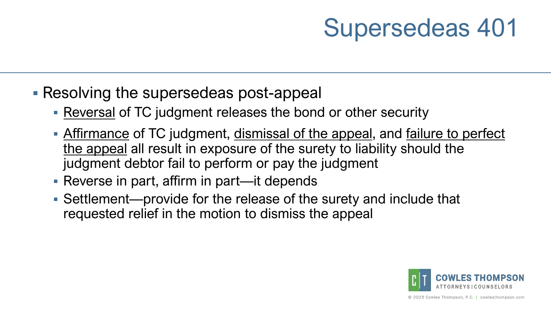### **Resolving the supersedeas post-appeal**

- Reversal of TC judgment releases the bond or other security
- Affirmance of TC judgment, dismissal of the appeal, and failure to perfect the appeal all result in exposure of the surety to liability should the judgment debtor fail to perform or pay the judgment
- Reverse in part, affirm in part—it depends
- Settlement—provide for the release of the surety and include that requested relief in the motion to dismiss the appeal

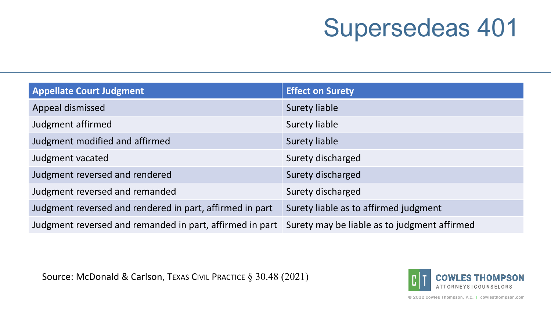| <b>Appellate Court Judgment</b>                          | <b>Effect on Surety</b>                      |
|----------------------------------------------------------|----------------------------------------------|
| Appeal dismissed                                         | <b>Surety liable</b>                         |
| Judgment affirmed                                        | Surety liable                                |
| Judgment modified and affirmed                           | <b>Surety liable</b>                         |
| Judgment vacated                                         | Surety discharged                            |
| Judgment reversed and rendered                           | Surety discharged                            |
| Judgment reversed and remanded                           | Surety discharged                            |
| Judgment reversed and rendered in part, affirmed in part | Surety liable as to affirmed judgment        |
| Judgment reversed and remanded in part, affirmed in part | Surety may be liable as to judgment affirmed |

Source: McDonald & Carlson, TEXAS CIVIL PRACTICE § 30.48 (2021)



© 2022 Cowles Thompson, P.C. | cowlesthompson.com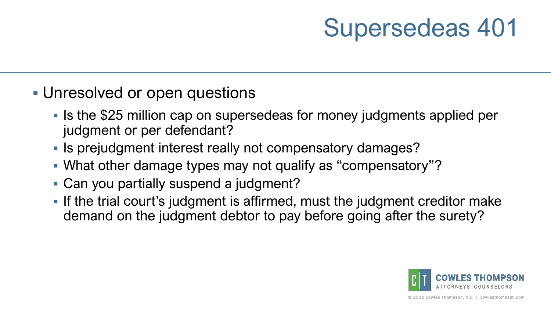- Unresolved or open questions
	- If Is the \$25 million cap on supersedeas for money judgments applied per judgment or per defendant?
	- **If is prejudgment interest really not compensatory damages?**
	- What other damage types may not qualify as "compensatory"?
	- Can you partially suspend a judgment?
	- **If the trial court's judgment is affirmed, must the judgment creditor make** demand on the judgment debtor to pay before going after the surety?